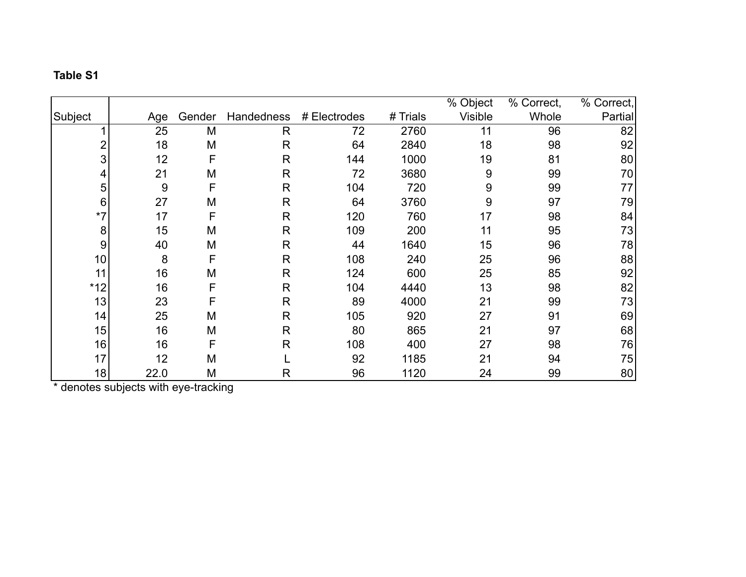## **Table S1**

|         |      |        |              |              |          | % Object | % Correct, | % Correct, |
|---------|------|--------|--------------|--------------|----------|----------|------------|------------|
| Subject | Age  | Gender | Handedness   | # Electrodes | # Trials | Visible  | Whole      | Partial    |
|         | 25   | M      | R            | 72           | 2760     | 11       | 96         | 82         |
| 2       | 18   | M      | $\mathsf{R}$ | 64           | 2840     | 18       | 98         | 92         |
| 3       | 12   | F      | $\mathsf{R}$ | 144          | 1000     | 19       | 81         | 80         |
| 4       | 21   | M      | $\mathsf{R}$ | 72           | 3680     | 9        | 99         | 70         |
| 5       | 9    | F      | $\mathsf{R}$ | 104          | 720      | 9        | 99         | 77         |
| $\,6$   | 27   | M      | $\mathsf{R}$ | 64           | 3760     | 9        | 97         | 79         |
| $*7$    | 17   | F      | $\mathsf{R}$ | 120          | 760      | 17       | 98         | 84         |
| 8       | 15   | M      | $\mathsf{R}$ | 109          | 200      | 11       | 95         | 73         |
| $9\,$   | 40   | M      | $\mathsf{R}$ | 44           | 1640     | 15       | 96         | 78         |
| 10      | 8    | F      | $\mathsf{R}$ | 108          | 240      | 25       | 96         | 88         |
| 11      | 16   | M      | $\mathsf{R}$ | 124          | 600      | 25       | 85         | 92         |
| $*12$   | 16   | F      | $\mathsf{R}$ | 104          | 4440     | 13       | 98         | 82         |
| 13      | 23   | F      | $\mathsf{R}$ | 89           | 4000     | 21       | 99         | 73         |
| 14      | 25   | M      | $\mathsf{R}$ | 105          | 920      | 27       | 91         | 69         |
| 15      | 16   | M      | $\mathsf{R}$ | 80           | 865      | 21       | 97         | 68         |
| 16      | 16   | F      | $\mathsf{R}$ | 108          | 400      | 27       | 98         | 76         |
| 17      | 12   | M      |              | 92           | 1185     | 21       | 94         | 75         |
| 18      | 22.0 | M      | R            | 96           | 1120     | 24       | 99         | 80         |

\* denotes subjects with eye-tracking